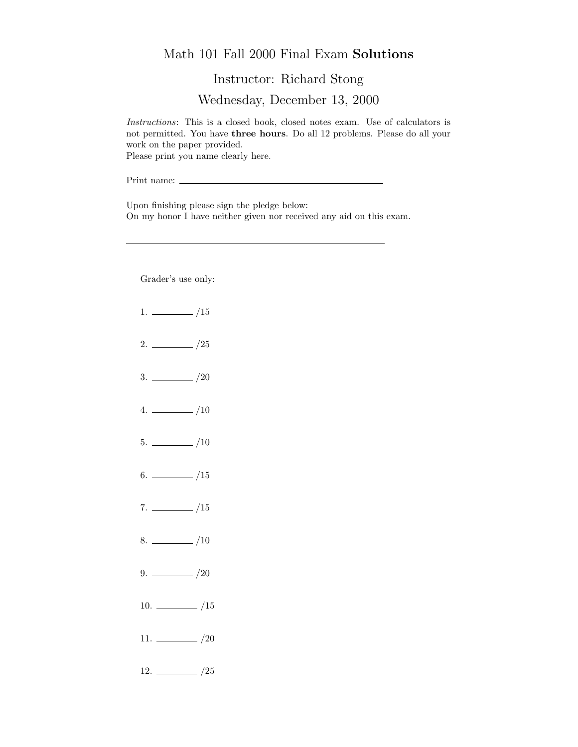## Math 101 Fall 2000 Final Exam Solutions

Instructor: Richard Stong

Wednesday, December 13, 2000

Instructions: This is a closed book, closed notes exam. Use of calculators is not permitted. You have three hours. Do all 12 problems. Please do all your work on the paper provided. Please print you name clearly here.

Print name:  $\_$ 

Upon finishing please sign the pledge below: On my honor I have neither given nor received any aid on this exam.

Grader's use only:

- $1. \ \_ \ \_ \ \_/15$
- $2. \ \frac{\ }{\ }$  /25
- $3. \ \_/20$
- $4. \ \_ 10$
- $5. \ \_$ /10
- $6.$  /15
- $7. \ \_/15$
- $8.$  /10
- $9. \ \_ \ \_ \ /20$
- $10. \ \_$ /15
- 11.  $\frac{1}{20}$
- $12. \ \_ 25$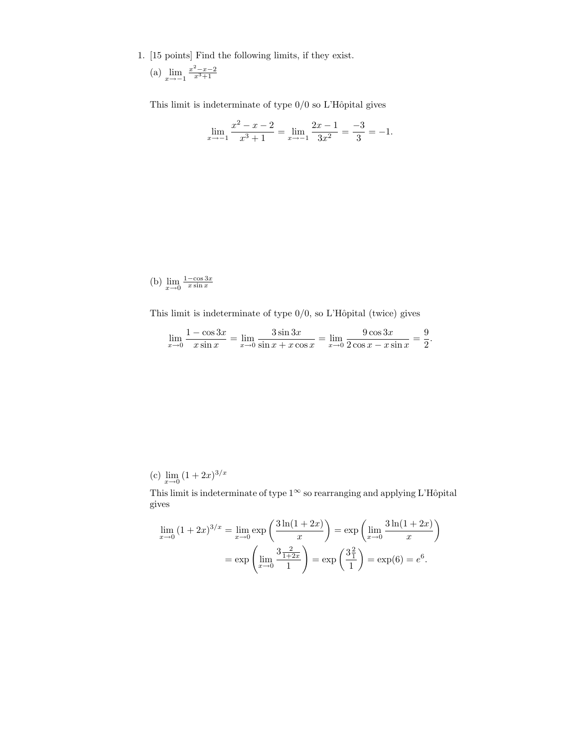1. [15 points] Find the following limits, if they exist.

(a) 
$$
\lim_{x \to -1} \frac{x^2 - x - 2}{x^3 + 1}
$$

This limit is indeterminate of type  $0/0$  so L'Hôpital gives

$$
\lim_{x \to -1} \frac{x^2 - x - 2}{x^3 + 1} = \lim_{x \to -1} \frac{2x - 1}{3x^2} = \frac{-3}{3} = -1.
$$

(b) 
$$
\lim_{x \to 0} \frac{1 - \cos 3x}{x \sin x}
$$

This limit is indeterminate of type  $0/0$ , so L'Hôpital (twice) gives

$$
\lim_{x \to 0} \frac{1 - \cos 3x}{x \sin x} = \lim_{x \to 0} \frac{3 \sin 3x}{\sin x + x \cos x} = \lim_{x \to 0} \frac{9 \cos 3x}{2 \cos x - x \sin x} = \frac{9}{2}.
$$

(c)  $\lim_{x \to 0} (1 + 2x)^{3/x}$ 

This limit is indeterminate of type  $1^{\infty}$  so rearranging and applying L'Hôpital gives

$$
\lim_{x \to 0} (1 + 2x)^{3/x} = \lim_{x \to 0} \exp\left(\frac{3\ln(1 + 2x)}{x}\right) = \exp\left(\lim_{x \to 0} \frac{3\ln(1 + 2x)}{x}\right)
$$

$$
= \exp\left(\lim_{x \to 0} \frac{3\frac{2}{1 + 2x}}{1}\right) = \exp\left(\frac{3\frac{2}{1}}{1}\right) = \exp(6) = e^6.
$$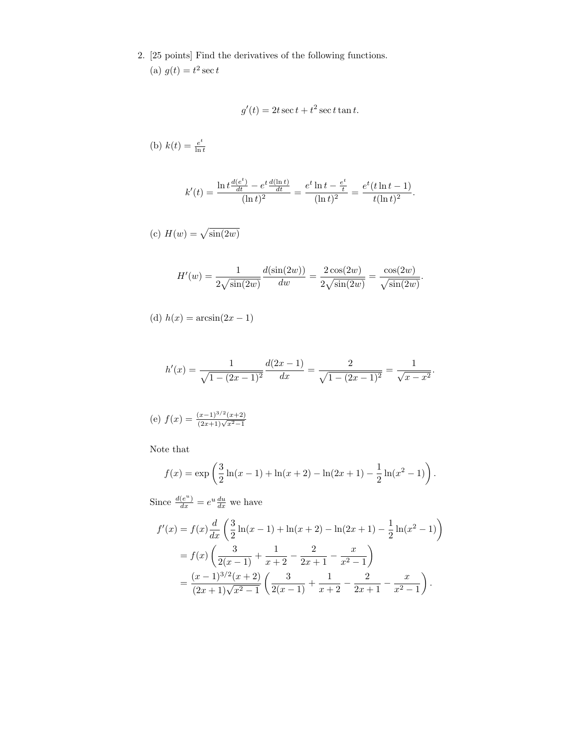2. [25 points] Find the derivatives of the following functions. (a)  $g(t) = t^2 \sec t$ 

$$
g'(t) = 2t \sec t + t^2 \sec t \tan t.
$$

(b) 
$$
k(t) = \frac{e^t}{\ln t}
$$

$$
k'(t) = \frac{\ln t \frac{d(e^t)}{dt} - e^t \frac{d(\ln t)}{dt}}{(\ln t)^2} = \frac{e^t \ln t - \frac{e^t}{t}}{(\ln t)^2} = \frac{e^t (t \ln t - 1)}{t (\ln t)^2}.
$$

(c) 
$$
H(w) = \sqrt{\sin(2w)}
$$

$$
H'(w) = \frac{1}{2\sqrt{\sin(2w)}} \frac{d(\sin(2w))}{dw} = \frac{2\cos(2w)}{2\sqrt{\sin(2w)}} = \frac{\cos(2w)}{\sqrt{\sin(2w)}}.
$$

(d) 
$$
h(x) = \arcsin(2x - 1)
$$

$$
h'(x) = \frac{1}{\sqrt{1 - (2x - 1)^2}} \frac{d(2x - 1)}{dx} = \frac{2}{\sqrt{1 - (2x - 1)^2}} = \frac{1}{\sqrt{x - x^2}}.
$$

(e) 
$$
f(x) = \frac{(x-1)^{3/2}(x+2)}{(2x+1)\sqrt{x^2-1}}
$$

Note that

$$
f(x) = \exp\left(\frac{3}{2}\ln(x-1) + \ln(x+2) - \ln(2x+1) - \frac{1}{2}\ln(x^2-1)\right).
$$

Since  $\frac{d(e^u)}{dx} = e^u \frac{du}{dx}$  we have

$$
f'(x) = f(x)\frac{d}{dx}\left(\frac{3}{2}\ln(x-1) + \ln(x+2) - \ln(2x+1) - \frac{1}{2}\ln(x^2-1)\right)
$$
  
=  $f(x)\left(\frac{3}{2(x-1)} + \frac{1}{x+2} - \frac{2}{2x+1} - \frac{x}{x^2-1}\right)$   
=  $\frac{(x-1)^{3/2}(x+2)}{(2x+1)\sqrt{x^2-1}}\left(\frac{3}{2(x-1)} + \frac{1}{x+2} - \frac{2}{2x+1} - \frac{x}{x^2-1}\right).$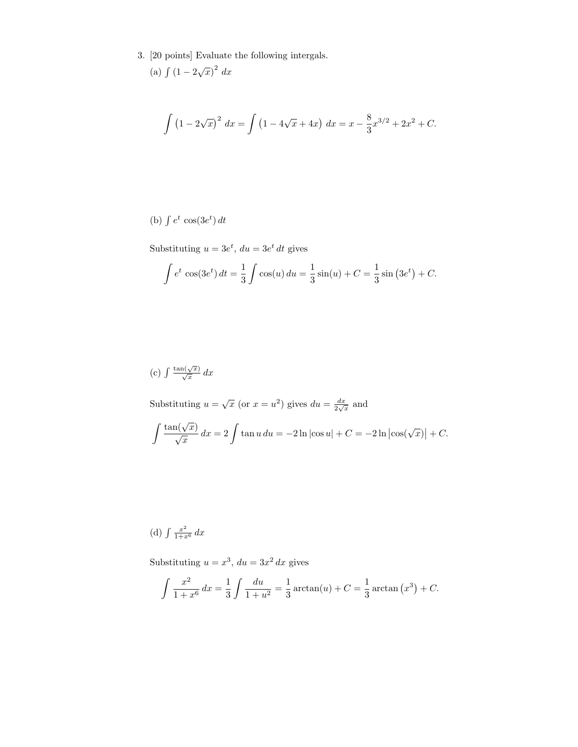3. [20 points] Evaluate the following intergals. √  $\overline{2}$ 

$$
(a) \int (1 - 2\sqrt{x})^2 dx
$$

$$
\int \left(1 - 2\sqrt{x}\right)^2 dx = \int \left(1 - 4\sqrt{x} + 4x\right) dx = x - \frac{8}{3}x^{3/2} + 2x^2 + C.
$$

(b)  $\int e^t \cos(3e^t) dt$ 

Substituting  $u = 3e^t$ ,  $du = 3e^t dt$  gives

$$
\int e^t \cos(3e^t) dt = \frac{1}{3} \int \cos(u) du = \frac{1}{3} \sin(u) + C = \frac{1}{3} \sin(3e^t) + C.
$$

(c) 
$$
\int \frac{\tan(\sqrt{x})}{\sqrt{x}} dx
$$

Substituting  $u = \sqrt{x}$  (or  $x = u^2$ ) gives  $du = \frac{dx}{2\sqrt{x}}$  and

$$
\int \frac{\tan(\sqrt{x})}{\sqrt{x}} dx = 2 \int \tan u du = -2 \ln |\cos u| + C = -2 \ln |\cos(\sqrt{x})| + C.
$$

(d)  $\int \frac{x^2}{1+x^6} dx$ 

Substituting  $u = x^3$ ,  $du = 3x^2 dx$  gives

$$
\int \frac{x^2}{1+x^6} dx = \frac{1}{3} \int \frac{du}{1+u^2} = \frac{1}{3} \arctan(u) + C = \frac{1}{3} \arctan(x^3) + C.
$$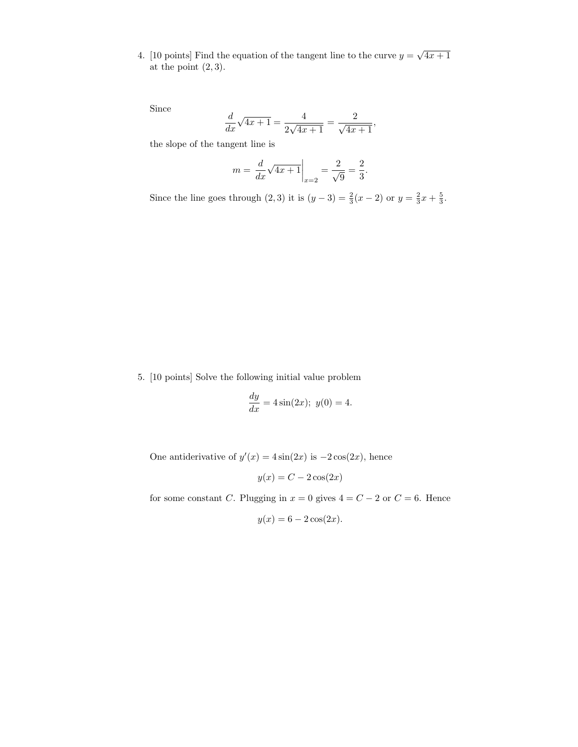4. [10 points] Find the equation of the tangent line to the curve  $y = \sqrt{4x+1}$ at the point  $(2, 3)$ .

Since

$$
\frac{d}{dx}\sqrt{4x+1} = \frac{4}{2\sqrt{4x+1}} = \frac{2}{\sqrt{4x+1}},
$$

the slope of the tangent line is

$$
m = \frac{d}{dx}\sqrt{4x+1}\Big|_{x=2} = \frac{2}{\sqrt{9}} = \frac{2}{3}.
$$

Since the line goes through  $(2,3)$  it is  $(y-3) = \frac{2}{3}(x-2)$  or  $y = \frac{2}{3}x + \frac{5}{3}$ .

5. [10 points] Solve the following initial value problem

$$
\frac{dy}{dx} = 4\sin(2x); \ y(0) = 4.
$$

One antiderivative of  $y'(x) = 4\sin(2x)$  is  $-2\cos(2x)$ , hence

$$
y(x) = C - 2\cos(2x)
$$

for some constant C. Plugging in  $x = 0$  gives  $4 = C - 2$  or  $C = 6$ . Hence

$$
y(x) = 6 - 2\cos(2x).
$$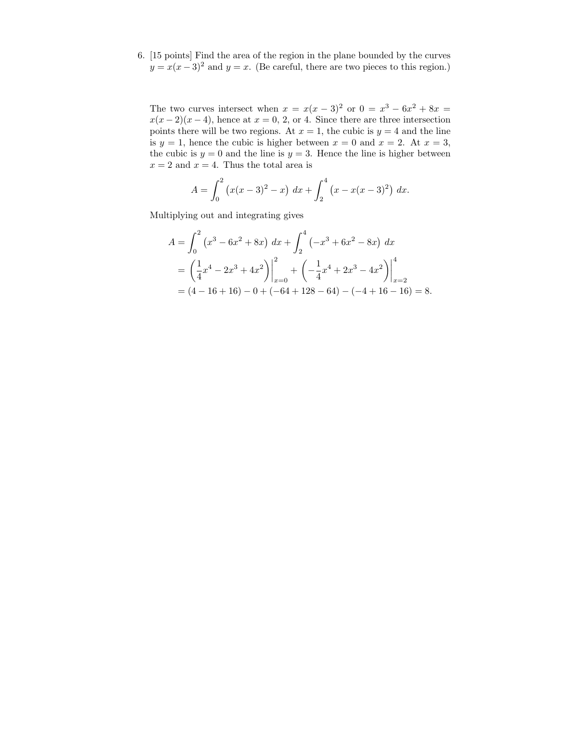6. [15 points] Find the area of the region in the plane bounded by the curves  $y = x(x-3)^2$  and  $y = x$ . (Be careful, there are two pieces to this region.)

The two curves intersect when  $x = x(x-3)^2$  or  $0 = x^3 - 6x^2 + 8x =$  $x(x-2)(x-4)$ , hence at  $x=0, 2,$  or 4. Since there are three intersection points there will be two regions. At  $x = 1$ , the cubic is  $y = 4$  and the line is  $y = 1$ , hence the cubic is higher between  $x = 0$  and  $x = 2$ . At  $x = 3$ , the cubic is  $y = 0$  and the line is  $y = 3$ . Hence the line is higher between  $x = 2$  and  $x = 4$ . Thus the total area is

$$
A = \int_0^2 (x(x-3)^2 - x) \, dx + \int_2^4 (x - x(x-3)^2) \, dx.
$$

Multiplying out and integrating gives

$$
A = \int_0^2 (x^3 - 6x^2 + 8x) dx + \int_2^4 (-x^3 + 6x^2 - 8x) dx
$$
  
=  $\left(\frac{1}{4}x^4 - 2x^3 + 4x^2\right)\Big|_{x=0}^2 + \left(-\frac{1}{4}x^4 + 2x^3 - 4x^2\right)\Big|_{x=2}^4$   
=  $(4 - 16 + 16) - 0 + (-64 + 128 - 64) - (-4 + 16 - 16) = 8.$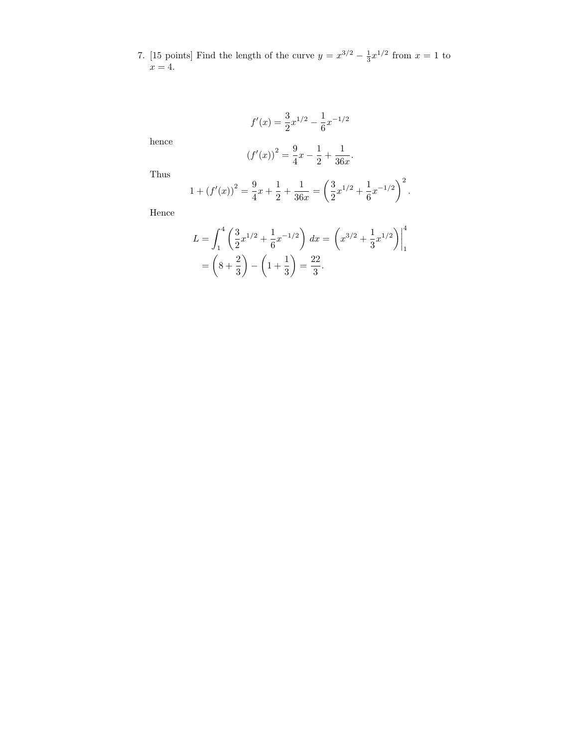7. [15 points] Find the length of the curve  $y = x^{3/2} - \frac{1}{3}x^{1/2}$  from  $x = 1$  to  $x=4.$ 

$$
f'(x) = \frac{3}{2}x^{1/2} - \frac{1}{6}x^{-1/2}
$$

hence

$$
(f'(x))^{2} = \frac{9}{4}x - \frac{1}{2} + \frac{1}{36x}.
$$

Thus

$$
1 + (f'(x))^{2} = \frac{9}{4}x + \frac{1}{2} + \frac{1}{36x} = \left(\frac{3}{2}x^{1/2} + \frac{1}{6}x^{-1/2}\right)^{2}.
$$

Hence

$$
L = \int_{1}^{4} \left( \frac{3}{2} x^{1/2} + \frac{1}{6} x^{-1/2} \right) dx = \left( x^{3/2} + \frac{1}{3} x^{1/2} \right) \Big|_{1}^{4}
$$
  
=  $\left( 8 + \frac{2}{3} \right) - \left( 1 + \frac{1}{3} \right) = \frac{22}{3}.$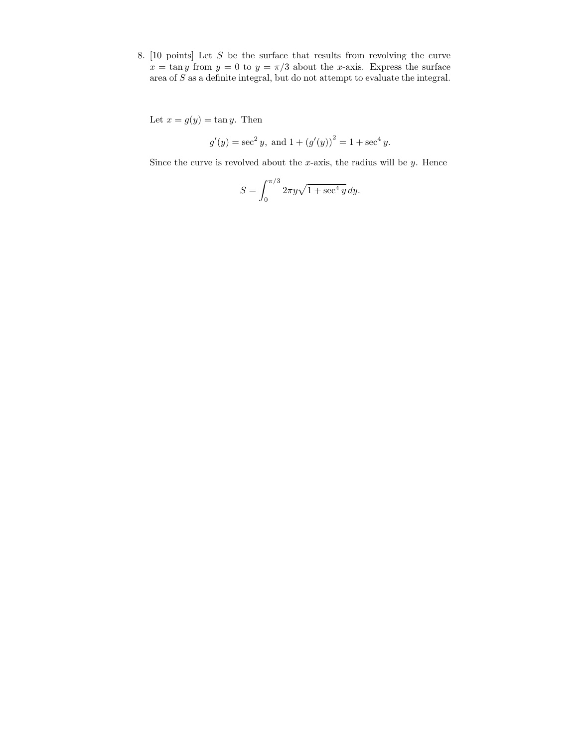8. [10 points] Let S be the surface that results from revolving the curve  $x = \tan y$  from  $y = 0$  to  $y = \pi/3$  about the x-axis. Express the surface area of S as a definite integral, but do not attempt to evaluate the integral.

Let  $x = g(y) = \tan y$ . Then

$$
g'(y) = \sec^2 y
$$
, and  $1 + (g'(y))^2 = 1 + \sec^4 y$ .

Since the curve is revolved about the  $x$ -axis, the radius will be  $y$ . Hence

$$
S = \int_0^{\pi/3} 2\pi y \sqrt{1 + \sec^4 y} \, dy.
$$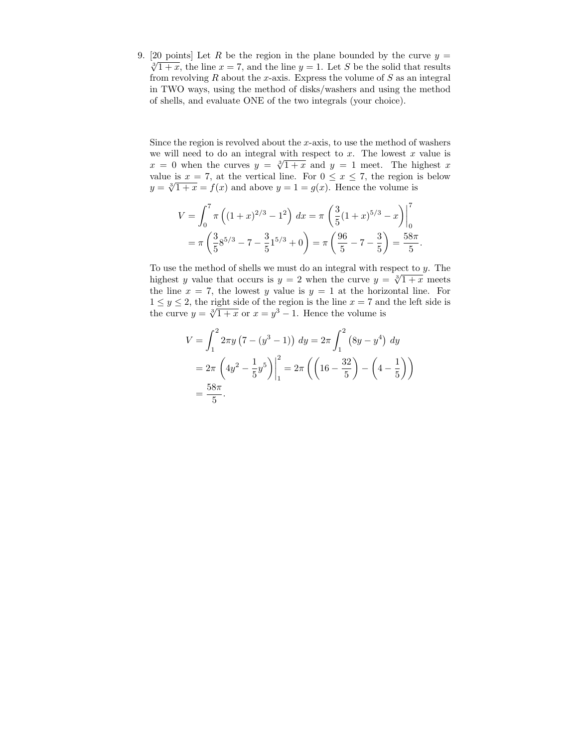9. [20 points] Let R be the region in the plane bounded by the curve  $y =$  $\sqrt[3]{1+x}$ , the line  $x = 7$ , and the line  $y = 1$ . Let S be the solid that results from revolving  $R$  about the  $x$ -axis. Express the volume of  $S$  as an integral in TWO ways, using the method of disks/washers and using the method of shells, and evaluate ONE of the two integrals (your choice).

Since the region is revolved about the  $x$ -axis, to use the method of washers we will need to do an integral with respect to  $x$ . The lowest  $x$  value is we will need to do an integral with respect to x. The lowest x value is  $x = 0$  when the curves  $y = \sqrt[3]{1 + x}$  and  $y = 1$  meet. The highest x value is  $x = 7$ , at the vertical line. For  $0 \le x \le 7$ , the region is below value is  $x = t$ , at the vertical line. For  $0 \le x \le t$ , the region is  $y = \sqrt[3]{1 + x} = f(x)$  and above  $y = 1 = g(x)$ . Hence the volume is

$$
V = \int_0^7 \pi \left( (1+x)^{2/3} - 1^2 \right) dx = \pi \left( \frac{3}{5} (1+x)^{5/3} - x \right) \Big|_0^7
$$
  
=  $\pi \left( \frac{3}{5} 8^{5/3} - 7 - \frac{3}{5} 1^{5/3} + 0 \right) = \pi \left( \frac{96}{5} - 7 - \frac{3}{5} \right) = \frac{58\pi}{5}.$ 

To use the method of shells we must do an integral with respect to  $y$ . The To use the method of shells we must do an integral with respect to y. The highest y value that occurs is  $y = 2$  when the curve  $y = \sqrt[3]{1 + x}$  meets the line  $x = 7$ , the lowest y value is  $y = 1$  at the horizontal line. For  $1 \leq y \leq 2$ , the right side of the region is the line  $x = 7$  and the left side is  $1 \leq y \leq z$ , the right side of the region is the line  $x = i$  and<br>the curve  $y = \sqrt[3]{1 + x}$  or  $x = y^3 - 1$ . Hence the volume is

$$
V = \int_{1}^{2} 2\pi y \left(7 - (y^3 - 1)\right) dy = 2\pi \int_{1}^{2} (8y - y^4) dy
$$
  
=  $2\pi \left(4y^2 - \frac{1}{5}y^5\right)\Big|_{1}^{2} = 2\pi \left(\left(16 - \frac{32}{5}\right) - \left(4 - \frac{1}{5}\right)\right)$   
=  $\frac{58\pi}{5}$ .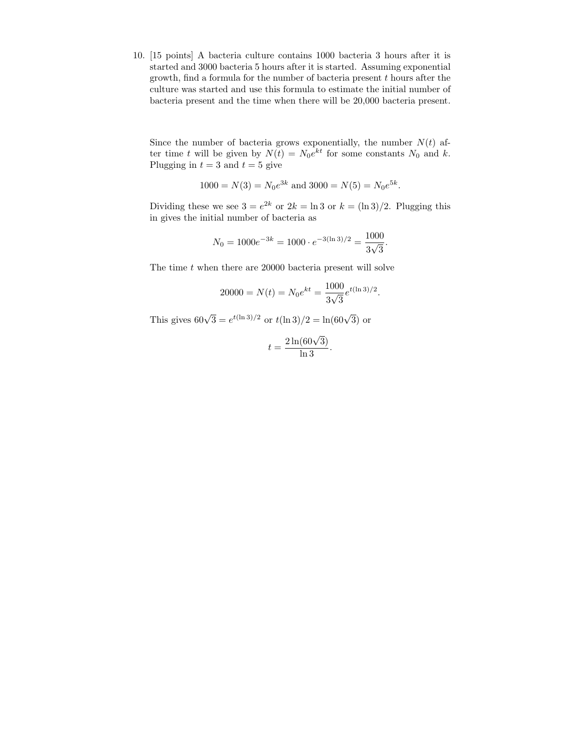10. [15 points] A bacteria culture contains 1000 bacteria 3 hours after it is started and 3000 bacteria 5 hours after it is started. Assuming exponential growth, find a formula for the number of bacteria present  $t$  hours after the culture was started and use this formula to estimate the initial number of bacteria present and the time when there will be 20,000 bacteria present.

Since the number of bacteria grows exponentially, the number  $N(t)$  after time t will be given by  $N(t) = N_0 e^{kt}$  for some constants  $N_0$  and k. Plugging in  $t = 3$  and  $t = 5$  give

$$
1000 = N(3) = N_0 e^{3k}
$$
 and  $3000 = N(5) = N_0 e^{5k}$ .

Dividing these we see  $3 = e^{2k}$  or  $2k = \ln 3$  or  $k = (\ln 3)/2$ . Plugging this in gives the initial number of bacteria as

$$
N_0 = 1000e^{-3k} = 1000 \cdot e^{-3(\ln 3)/2} = \frac{1000}{3\sqrt{3}}.
$$

The time  $t$  when there are 20000 bacteria present will solve

$$
20000 = N(t) = N_0 e^{kt} = \frac{1000}{3\sqrt{3}} e^{t(\ln 3)/2}.
$$

This gives  $60\sqrt{3} = e^{t(\ln 3)/2}$  or  $t(\ln 3)/2 = \ln(60\sqrt{3})$  or

$$
t = \frac{2\ln(60\sqrt{3})}{\ln 3}.
$$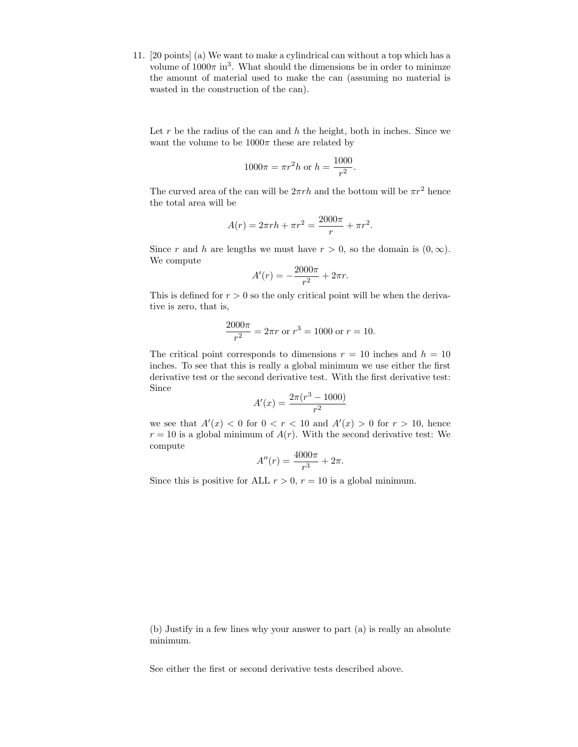11. [20 points] (a) We want to make a cylindrical can without a top which has a volume of  $1000\pi$  in<sup>3</sup>. What should the dimensions be in order to minimze the amount of material used to make the can (assuming no material is wasted in the construction of the can).

Let r be the radius of the can and  $h$  the height, both in inches. Since we want the volume to be  $1000\pi$  these are related by

$$
1000\pi = \pi r^2 h \text{ or } h = \frac{1000}{r^2}.
$$

The curved area of the can will be  $2\pi rh$  and the bottom will be  $\pi r^2$  hence the total area will be

$$
A(r) = 2\pi rh + \pi r^2 = \frac{2000\pi}{r} + \pi r^2.
$$

Since r and h are lengths we must have  $r > 0$ , so the domain is  $(0, \infty)$ . We compute

$$
A'(r) = -\frac{2000\pi}{r^2} + 2\pi r.
$$

This is defined for  $r > 0$  so the only critical point will be when the derivative is zero, that is,

$$
\frac{2000\pi}{r^2} = 2\pi r
$$
 or  $r^3 = 1000$  or  $r = 10$ .

The critical point corresponds to dimensions  $r = 10$  inches and  $h = 10$ inches. To see that this is really a global minimum we use either the first derivative test or the second derivative test. With the first derivative test: Since

$$
A'(x) = \frac{2\pi (r^3 - 1000)}{r^2}
$$

we see that  $A'(x) < 0$  for  $0 < r < 10$  and  $A'(x) > 0$  for  $r > 10$ , hence  $r = 10$  is a global minimum of  $A(r)$ . With the second derivative test: We compute

$$
A''(r) = \frac{4000\pi}{r^3} + 2\pi.
$$

Since this is positive for ALL  $r > 0$ ,  $r = 10$  is a global minimum.

(b) Justify in a few lines why your answer to part (a) is really an absolute minimum.

See either the first or second derivative tests described above.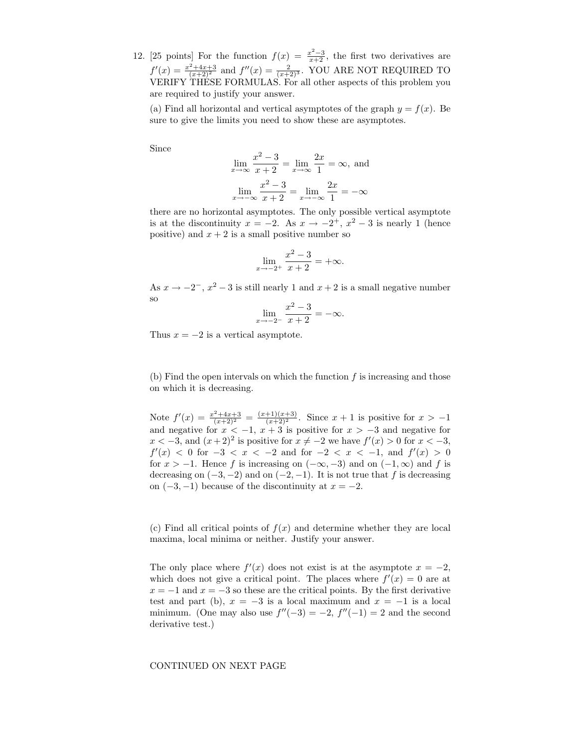12. [25 points] For the function  $f(x) = \frac{x^2-3}{x+2}$ , the first two derivatives are  $f'(x) = \frac{x^2 + 4x + 3}{(x+2)^2}$  and  $f''(x) = \frac{2}{(x+2)^3}$ . YOU ARE NOT REQUIRED TO VERIFY THESE FORMULAS. For all other aspects of this problem you are required to justify your answer.

(a) Find all horizontal and vertical asymptotes of the graph  $y = f(x)$ . Be sure to give the limits you need to show these are asymptotes.

Since

$$
\lim_{x \to \infty} \frac{x^2 - 3}{x + 2} = \lim_{x \to \infty} \frac{2x}{1} = \infty, \text{ and}
$$

$$
\lim_{x \to \infty} \frac{x^2 - 3}{x + 2} = \lim_{x \to \infty} \frac{2x}{1} = -\infty
$$

there are no horizontal asymptotes. The only possible vertical asymptote is at the discontinuity  $x = -2$ . As  $x \to -2^+$ ,  $x^2 - 3$  is nearly 1 (hence positive) and  $x + 2$  is a small positive number so

$$
\lim_{x \to -2^+} \frac{x^2 - 3}{x + 2} = +\infty.
$$

As  $x \to -2^-$ ,  $x^2 - 3$  is still nearly 1 and  $x + 2$  is a small negative number so

$$
\lim_{x \to -2^{-}} \frac{x^2 - 3}{x + 2} = -\infty.
$$

Thus  $x = -2$  is a vertical asymptote.

(b) Find the open intervals on which the function  $f$  is increasing and those on which it is decreasing.

Note  $f'(x) = \frac{x^2 + 4x + 3}{(x+2)^2} = \frac{(x+1)(x+3)}{(x+2)^2}$ . Since  $x + 1$  is positive for  $x > -1$ and negative for  $x < -1$ ,  $x + 3$  is positive for  $x > -3$  and negative for  $x < -3$ , and  $(x+2)^2$  is positive for  $x \neq -2$  we have  $f'(x) > 0$  for  $x < -3$ ,  $f'(x) < 0$  for  $-3 < x < -2$  and for  $-2 < x < -1$ , and  $f'(x) > 0$ for  $x > -1$ . Hence f is increasing on  $(-\infty, -3)$  and on  $(-1, \infty)$  and f is decreasing on  $(-3, -2)$  and on  $(-2, -1)$ . It is not true that f is decreasing on  $(-3, -1)$  because of the discontinuity at  $x = -2$ .

(c) Find all critical points of  $f(x)$  and determine whether they are local maxima, local minima or neither. Justify your answer.

The only place where  $f'(x)$  does not exist is at the asymptote  $x = -2$ , which does not give a critical point. The places where  $f'(x) = 0$  are at  $x = -1$  and  $x = -3$  so these are the critical points. By the first derivative test and part (b),  $x = -3$  is a local maximum and  $x = -1$  is a local minimum. (One may also use  $f''(-3) = -2$ ,  $f''(-1) = 2$  and the second derivative test.)

## CONTINUED ON NEXT PAGE